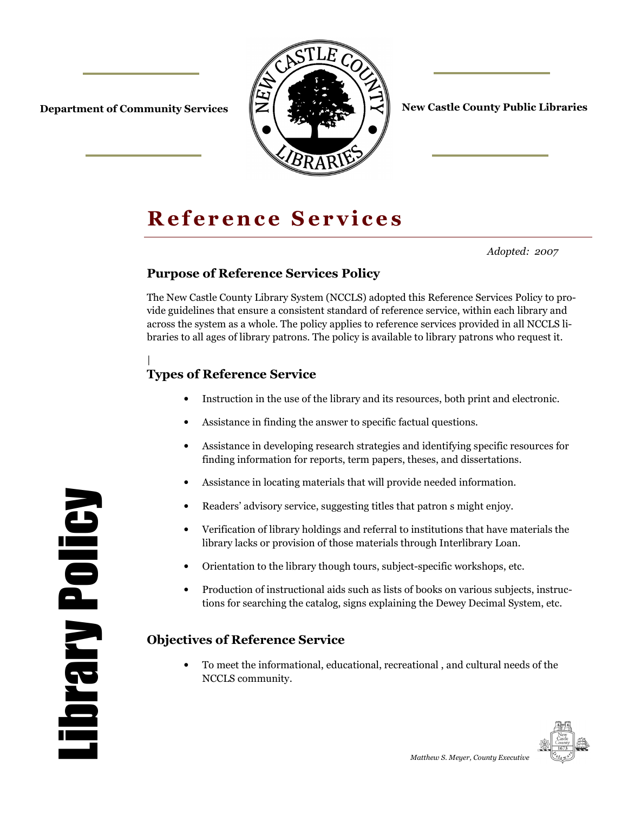



**Department of Community Services**  $\|\mathbf{Z}\|$  **of**  $\|\mathbf{Z}\|$  $\|\mathbf{Z}\|$  **New Castle County Public Libraries** 

# **Reference Services**

*Adopted: 2007* 

# **Purpose of Reference Services Policy**

The New Castle County Library System (NCCLS) adopted this Reference Services Policy to provide guidelines that ensure a consistent standard of reference service, within each library and across the system as a whole. The policy applies to reference services provided in all NCCLS libraries to all ages of library patrons. The policy is available to library patrons who request it.

### | **Types of Reference Service**

- Instruction in the use of the library and its resources, both print and electronic.
- Assistance in finding the answer to specific factual questions.
- Assistance in developing research strategies and identifying specific resources for finding information for reports, term papers, theses, and dissertations.
- Assistance in locating materials that will provide needed information.
- Readers' advisory service, suggesting titles that patron s might enjoy.
- Verification of library holdings and referral to institutions that have materials the library lacks or provision of those materials through Interlibrary Loan.
- Orientation to the library though tours, subject-specific workshops, etc.
- Production of instructional aids such as lists of books on various subjects, instructions for searching the catalog, signs explaining the Dewey Decimal System, etc.

# **Objectives of Reference Service**

• To meet the informational, educational, recreational , and cultural needs of the NCCLS community.



Library Policy